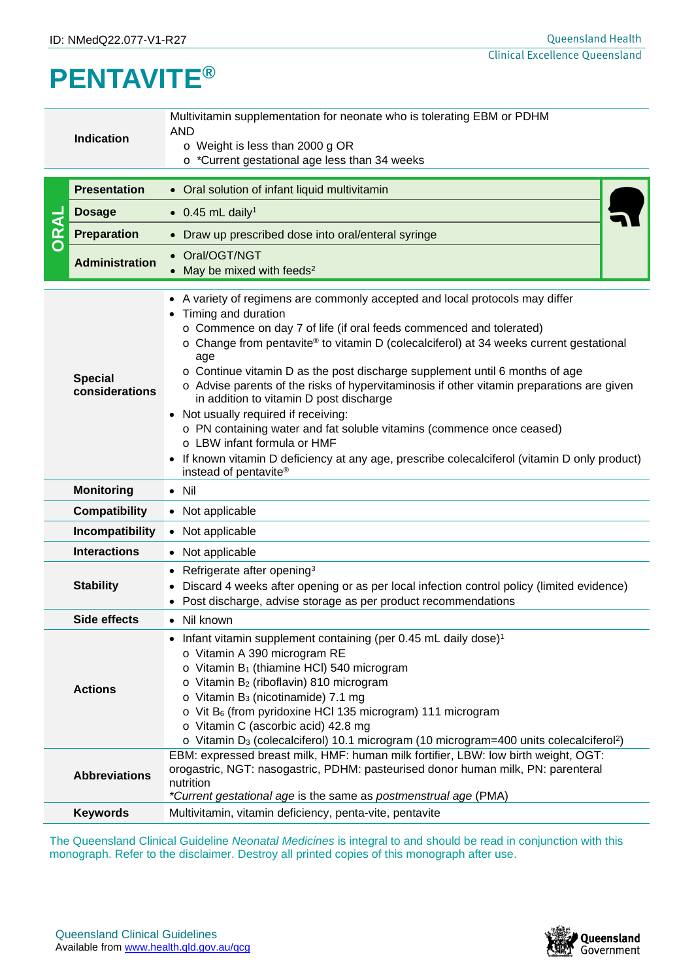## **PENTAVITE®**

|  | Multivitamin supplementation for neonate who is tolerating EBM or PDHM<br><b>AND</b><br><b>Indication</b><br>o Weight is less than 2000 g OR<br>o *Current gestational age less than 34 weeks                                                                                                                                                                                                                                                                                                                                                                                                                                                                                                                                                                                                                                           |                                                                                                                                                                                                                                                                                                                                                                                                                                                                                                                             |  |  |  |
|--|-----------------------------------------------------------------------------------------------------------------------------------------------------------------------------------------------------------------------------------------------------------------------------------------------------------------------------------------------------------------------------------------------------------------------------------------------------------------------------------------------------------------------------------------------------------------------------------------------------------------------------------------------------------------------------------------------------------------------------------------------------------------------------------------------------------------------------------------|-----------------------------------------------------------------------------------------------------------------------------------------------------------------------------------------------------------------------------------------------------------------------------------------------------------------------------------------------------------------------------------------------------------------------------------------------------------------------------------------------------------------------------|--|--|--|
|  | <b>Presentation</b>                                                                                                                                                                                                                                                                                                                                                                                                                                                                                                                                                                                                                                                                                                                                                                                                                     | • Oral solution of infant liquid multivitamin                                                                                                                                                                                                                                                                                                                                                                                                                                                                               |  |  |  |
|  | <b>Dosage</b>                                                                                                                                                                                                                                                                                                                                                                                                                                                                                                                                                                                                                                                                                                                                                                                                                           | $\bullet$ 0.45 mL daily <sup>1</sup>                                                                                                                                                                                                                                                                                                                                                                                                                                                                                        |  |  |  |
|  | <b>Preparation</b>                                                                                                                                                                                                                                                                                                                                                                                                                                                                                                                                                                                                                                                                                                                                                                                                                      | • Draw up prescribed dose into oral/enteral syringe                                                                                                                                                                                                                                                                                                                                                                                                                                                                         |  |  |  |
|  | <b>Administration</b>                                                                                                                                                                                                                                                                                                                                                                                                                                                                                                                                                                                                                                                                                                                                                                                                                   | Oral/OGT/NGT<br>May be mixed with feeds <sup>2</sup>                                                                                                                                                                                                                                                                                                                                                                                                                                                                        |  |  |  |
|  | • A variety of regimens are commonly accepted and local protocols may differ<br>Timing and duration<br>$\bullet$<br>o Commence on day 7 of life (if oral feeds commenced and tolerated)<br>$\circ$ Change from pentavite® to vitamin D (colecalciferol) at 34 weeks current gestational<br>age<br>$\circ$ Continue vitamin D as the post discharge supplement until 6 months of age<br><b>Special</b><br>o Advise parents of the risks of hypervitaminosis if other vitamin preparations are given<br>considerations<br>in addition to vitamin D post discharge<br>• Not usually required if receiving:<br>o PN containing water and fat soluble vitamins (commence once ceased)<br>o LBW infant formula or HMF<br>If known vitamin D deficiency at any age, prescribe colecalciferol (vitamin D only product)<br>instead of pentavite® |                                                                                                                                                                                                                                                                                                                                                                                                                                                                                                                             |  |  |  |
|  | <b>Monitoring</b>                                                                                                                                                                                                                                                                                                                                                                                                                                                                                                                                                                                                                                                                                                                                                                                                                       | $\bullet$ Nil                                                                                                                                                                                                                                                                                                                                                                                                                                                                                                               |  |  |  |
|  | <b>Compatibility</b>                                                                                                                                                                                                                                                                                                                                                                                                                                                                                                                                                                                                                                                                                                                                                                                                                    | • Not applicable                                                                                                                                                                                                                                                                                                                                                                                                                                                                                                            |  |  |  |
|  | Incompatibility                                                                                                                                                                                                                                                                                                                                                                                                                                                                                                                                                                                                                                                                                                                                                                                                                         | • Not applicable                                                                                                                                                                                                                                                                                                                                                                                                                                                                                                            |  |  |  |
|  | <b>Interactions</b>                                                                                                                                                                                                                                                                                                                                                                                                                                                                                                                                                                                                                                                                                                                                                                                                                     | • Not applicable                                                                                                                                                                                                                                                                                                                                                                                                                                                                                                            |  |  |  |
|  | <b>Stability</b>                                                                                                                                                                                                                                                                                                                                                                                                                                                                                                                                                                                                                                                                                                                                                                                                                        | Refrigerate after opening <sup>3</sup><br>$\bullet$<br>Discard 4 weeks after opening or as per local infection control policy (limited evidence)<br>Post discharge, advise storage as per product recommendations                                                                                                                                                                                                                                                                                                           |  |  |  |
|  | Side effects                                                                                                                                                                                                                                                                                                                                                                                                                                                                                                                                                                                                                                                                                                                                                                                                                            | • Nil known                                                                                                                                                                                                                                                                                                                                                                                                                                                                                                                 |  |  |  |
|  | <b>Actions</b>                                                                                                                                                                                                                                                                                                                                                                                                                                                                                                                                                                                                                                                                                                                                                                                                                          | Infant vitamin supplement containing (per 0.45 mL daily dose) <sup>1</sup><br>o Vitamin A 390 microgram RE<br>o Vitamin B <sub>1</sub> (thiamine HCI) 540 microgram<br>o Vitamin B <sub>2</sub> (riboflavin) 810 microgram<br>o Vitamin B <sub>3</sub> (nicotinamide) 7.1 mg<br>$\circ$ Vit B <sub>6</sub> (from pyridoxine HCI 135 microgram) 111 microgram<br>o Vitamin C (ascorbic acid) 42.8 mg<br>$\circ$ Vitamin D <sub>3</sub> (colecalciferol) 10.1 microgram (10 microgram=400 units colecalciferol <sup>2</sup> ) |  |  |  |
|  | <b>Abbreviations</b>                                                                                                                                                                                                                                                                                                                                                                                                                                                                                                                                                                                                                                                                                                                                                                                                                    | EBM: expressed breast milk, HMF: human milk fortifier, LBW: low birth weight, OGT:<br>orogastric, NGT: nasogastric, PDHM: pasteurised donor human milk, PN: parenteral<br>nutrition<br>*Current gestational age is the same as postmenstrual age (PMA)                                                                                                                                                                                                                                                                      |  |  |  |
|  | <b>Keywords</b>                                                                                                                                                                                                                                                                                                                                                                                                                                                                                                                                                                                                                                                                                                                                                                                                                         | Multivitamin, vitamin deficiency, penta-vite, pentavite                                                                                                                                                                                                                                                                                                                                                                                                                                                                     |  |  |  |
|  |                                                                                                                                                                                                                                                                                                                                                                                                                                                                                                                                                                                                                                                                                                                                                                                                                                         | The Queensland Clinical Guideline Neonatal Medicines is integral to and should be read in conjunction with this<br>monograph. Refer to the disclaimer. Destroy all printed copies of this monograph after use.                                                                                                                                                                                                                                                                                                              |  |  |  |